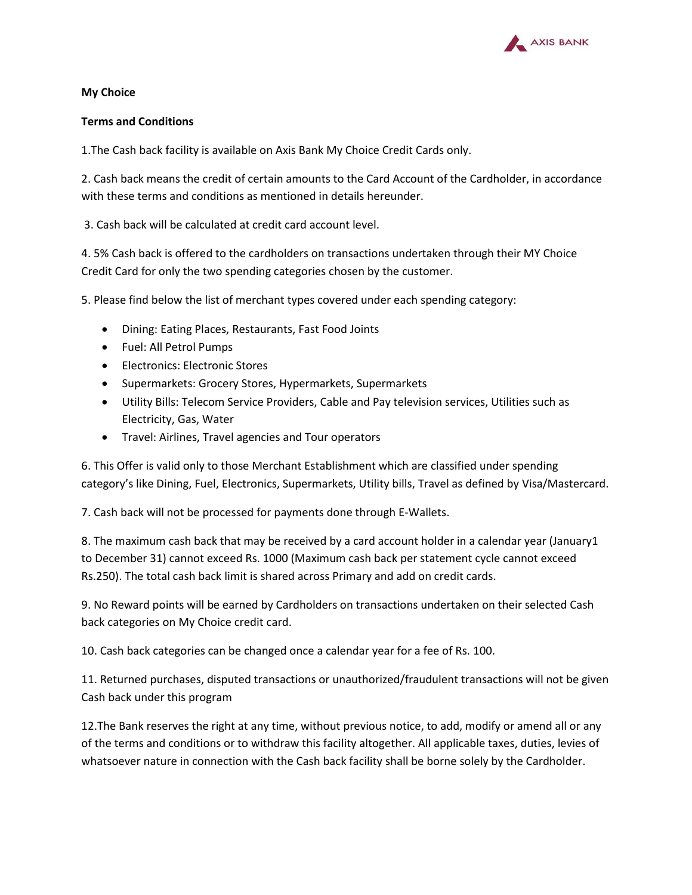

## **My Choice**

## **Terms and Conditions**

1.The Cash back facility is available on Axis Bank My Choice Credit Cards only.

2. Cash back means the credit of certain amounts to the Card Account of the Cardholder, in accordance with these terms and conditions as mentioned in details hereunder.

3. Cash back will be calculated at credit card account level.

4. 5% Cash back is offered to the cardholders on transactions undertaken through their MY Choice Credit Card for only the two spending categories chosen by the customer.

5. Please find below the list of merchant types covered under each spending category:

- Dining: Eating Places, Restaurants, Fast Food Joints
- Fuel: All Petrol Pumps
- Electronics: Electronic Stores
- Supermarkets: Grocery Stores, Hypermarkets, Supermarkets
- Utility Bills: Telecom Service Providers, Cable and Pay television services, Utilities such as Electricity, Gas, Water
- Travel: Airlines, Travel agencies and Tour operators

6. This Offer is valid only to those Merchant Establishment which are classified under spending category's like Dining, Fuel, Electronics, Supermarkets, Utility bills, Travel as defined by Visa/Mastercard.

7. Cash back will not be processed for payments done through E-Wallets.

8. The maximum cash back that may be received by a card account holder in a calendar year (January1 to December 31) cannot exceed Rs. 1000 (Maximum cash back per statement cycle cannot exceed Rs.250). The total cash back limit is shared across Primary and add on credit cards.

9. No Reward points will be earned by Cardholders on transactions undertaken on their selected Cash back categories on My Choice credit card.

10. Cash back categories can be changed once a calendar year for a fee of Rs. 100.

11. Returned purchases, disputed transactions or unauthorized/fraudulent transactions will not be given Cash back under this program

12.The Bank reserves the right at any time, without previous notice, to add, modify or amend all or any of the terms and conditions or to withdraw this facility altogether. All applicable taxes, duties, levies of whatsoever nature in connection with the Cash back facility shall be borne solely by the Cardholder.